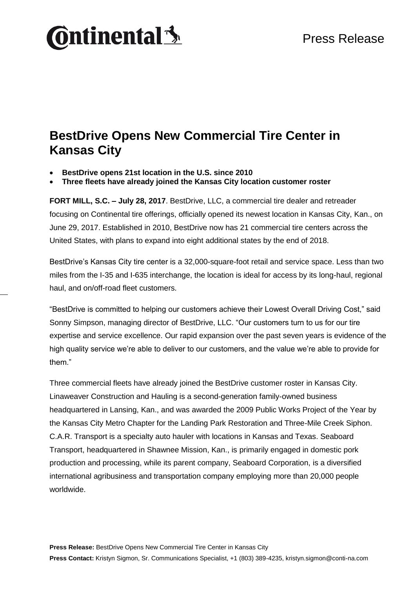# **Ontinental3**

#### **BestDrive Opens New Commercial Tire Center in Kansas City**

- **BestDrive opens 21st location in the U.S. since 2010**
- **Three fleets have already joined the Kansas City location customer roster**

**FORT MILL, S.C. – July 28, 2017**. BestDrive, LLC, a commercial tire dealer and retreader focusing on Continental tire offerings, officially opened its newest location in Kansas City, Kan., on June 29, 2017. Established in 2010, BestDrive now has 21 commercial tire centers across the United States, with plans to expand into eight additional states by the end of 2018.

BestDrive's Kansas City tire center is a 32,000-square-foot retail and service space. Less than two miles from the I-35 and I-635 interchange, the location is ideal for access by its long-haul, regional haul, and on/off-road fleet customers.

"BestDrive is committed to helping our customers achieve their Lowest Overall Driving Cost," said Sonny Simpson, managing director of BestDrive, LLC. "Our customers turn to us for our tire expertise and service excellence. Our rapid expansion over the past seven years is evidence of the high quality service we're able to deliver to our customers, and the value we're able to provide for them."

Three commercial fleets have already joined the BestDrive customer roster in Kansas City. Linaweaver Construction and Hauling is a second-generation family-owned business headquartered in Lansing, Kan., and was awarded the 2009 Public Works Project of the Year by the Kansas City Metro Chapter for the Landing Park Restoration and Three-Mile Creek Siphon. C.A.R. Transport is a specialty auto hauler with locations in Kansas and Texas. Seaboard Transport, headquartered in Shawnee Mission, Kan., is primarily engaged in domestic pork production and processing, while its parent company, Seaboard Corporation, is a diversified international agribusiness and transportation company employing more than 20,000 people worldwide.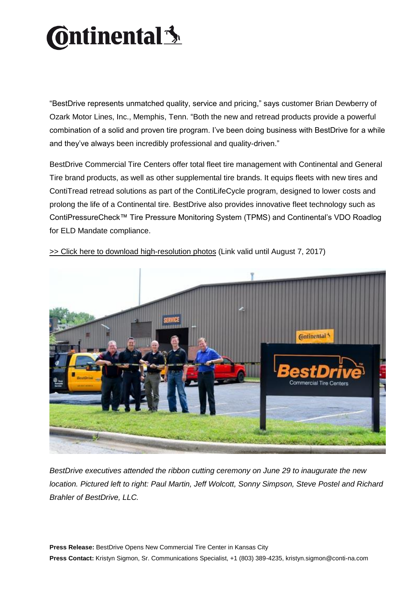# **Ontinental** \$

"BestDrive represents unmatched quality, service and pricing," says customer Brian Dewberry of Ozark Motor Lines, Inc., Memphis, Tenn. "Both the new and retread products provide a powerful combination of a solid and proven tire program. I've been doing business with BestDrive for a while and they've always been incredibly professional and quality-driven."

BestDrive Commercial Tire Centers offer total fleet tire management with Continental and General Tire brand products, as well as other supplemental tire brands. It equips fleets with new tires and ContiTread retread solutions as part of the ContiLifeCycle program, designed to lower costs and prolong the life of a Continental tire. BestDrive also provides innovative fleet technology such as ContiPressureCheck™ Tire Pressure Monitoring System (TPMS) and Continental's VDO Roadlog for ELD Mandate compliance.



[>> Click here to download high-resolution photos](https://www.contiview.de/link/9cb0ce9a/) (Link valid until August 7, 2017)

*BestDrive executives attended the ribbon cutting ceremony on June 29 to inaugurate the new location. Pictured left to right: Paul Martin, Jeff Wolcott, Sonny Simpson, Steve Postel and Richard Brahler of BestDrive, LLC.*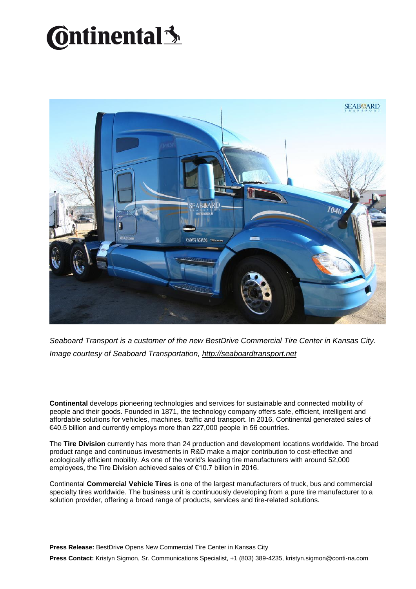## **Ontinental** \$



*Seaboard Transport is a customer of the new BestDrive Commercial Tire Center in Kansas City. Image courtesy of Seaboard Transportation, [http://seaboardtransport.net](http://seaboardtransport.net/)*

**Continental** develops pioneering technologies and services for sustainable and connected mobility of people and their goods. Founded in 1871, the technology company offers safe, efficient, intelligent and affordable solutions for vehicles, machines, traffic and transport. In 2016, Continental generated sales of €40.5 billion and currently employs more than 227,000 people in 56 countries.

The **Tire Division** currently has more than 24 production and development locations worldwide. The broad product range and continuous investments in R&D make a major contribution to cost-effective and ecologically efficient mobility. As one of the world's leading tire manufacturers with around 52,000 employees, the Tire Division achieved sales of €10.7 billion in 2016.

Continental **Commercial Vehicle Tires** is one of the largest manufacturers of truck, bus and commercial specialty tires worldwide. The business unit is continuously developing from a pure tire manufacturer to a solution provider, offering a broad range of products, services and tire-related solutions.